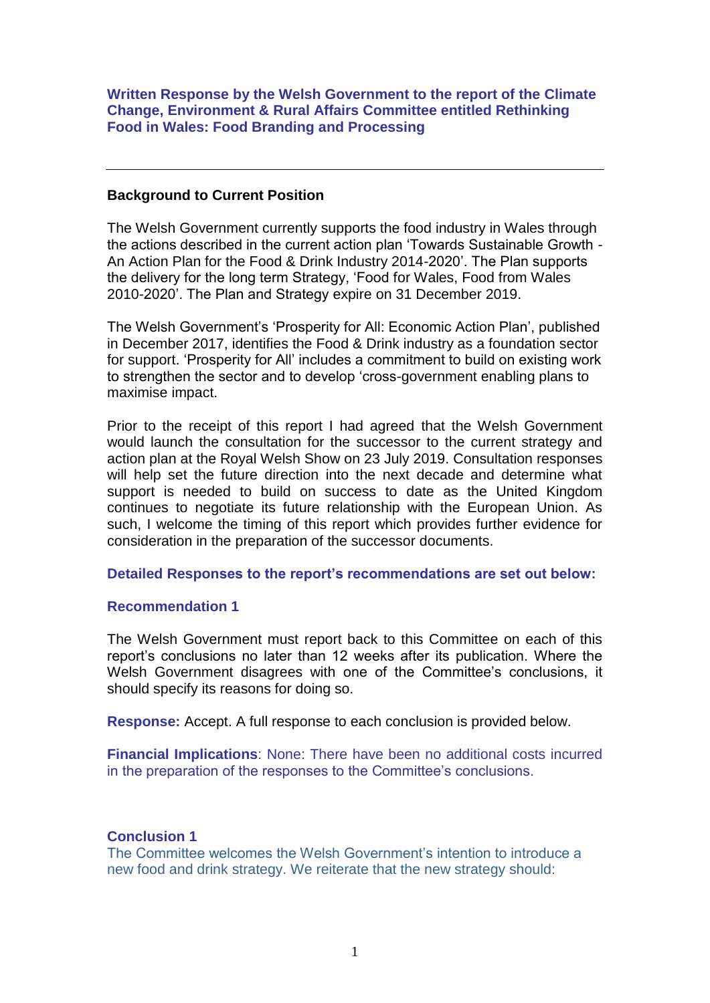**Written Response by the Welsh Government to the report of the Climate Change, Environment & Rural Affairs Committee entitled Rethinking Food in Wales: Food Branding and Processing**

### **Background to Current Position**

The Welsh Government currently supports the food industry in Wales through the actions described in the current action plan 'Towards Sustainable Growth - An Action Plan for the Food & Drink Industry 2014-2020'. The Plan supports the delivery for the long term Strategy, 'Food for Wales, Food from Wales 2010-2020'. The Plan and Strategy expire on 31 December 2019.

The Welsh Government's 'Prosperity for All: Economic Action Plan', published in December 2017, identifies the Food & Drink industry as a foundation sector for support. 'Prosperity for All' includes a commitment to build on existing work to strengthen the sector and to develop 'cross-government enabling plans to maximise impact.

Prior to the receipt of this report I had agreed that the Welsh Government would launch the consultation for the successor to the current strategy and action plan at the Royal Welsh Show on 23 July 2019. Consultation responses will help set the future direction into the next decade and determine what support is needed to build on success to date as the United Kingdom continues to negotiate its future relationship with the European Union. As such, I welcome the timing of this report which provides further evidence for consideration in the preparation of the successor documents.

### **Detailed Responses to the report's recommendations are set out below:**

#### **Recommendation 1**

The Welsh Government must report back to this Committee on each of this report's conclusions no later than 12 weeks after its publication. Where the Welsh Government disagrees with one of the Committee's conclusions, it should specify its reasons for doing so.

**Response:** Accept. A full response to each conclusion is provided below.

**Financial Implications**: None: There have been no additional costs incurred in the preparation of the responses to the Committee's conclusions.

#### **Conclusion 1**

The Committee welcomes the Welsh Government's intention to introduce a new food and drink strategy. We reiterate that the new strategy should: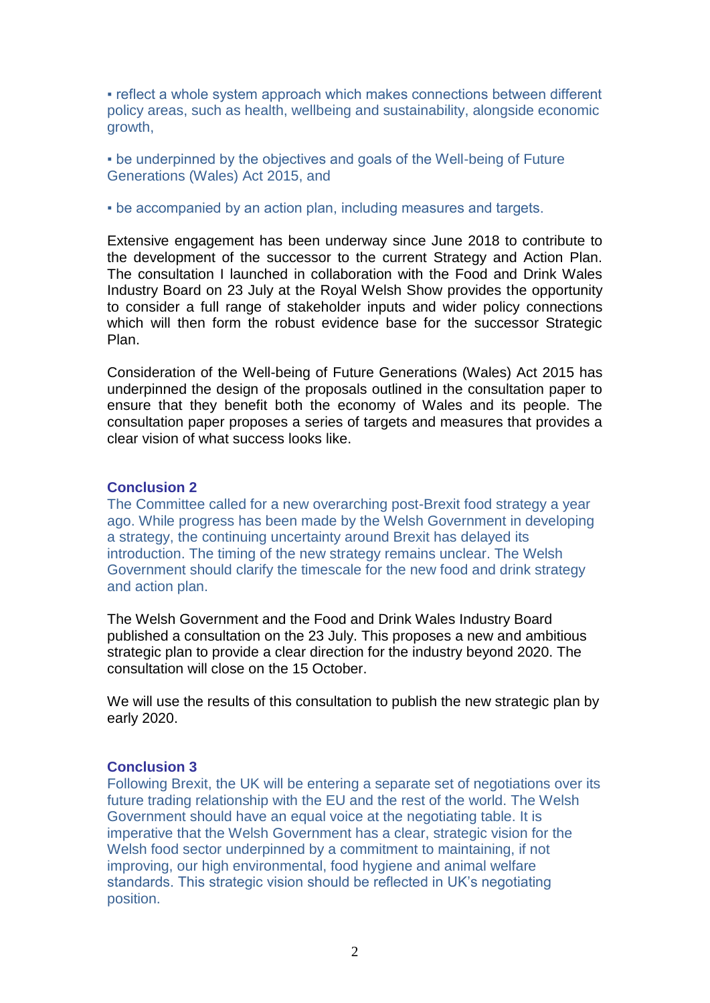• reflect a whole system approach which makes connections between different policy areas, such as health, wellbeing and sustainability, alongside economic growth,

• be underpinned by the objectives and goals of the Well-being of Future Generations (Wales) Act 2015, and

▪ be accompanied by an action plan, including measures and targets.

Extensive engagement has been underway since June 2018 to contribute to the development of the successor to the current Strategy and Action Plan. The consultation I launched in collaboration with the Food and Drink Wales Industry Board on 23 July at the Royal Welsh Show provides the opportunity to consider a full range of stakeholder inputs and wider policy connections which will then form the robust evidence base for the successor Strategic Plan.

Consideration of the Well-being of Future Generations (Wales) Act 2015 has underpinned the design of the proposals outlined in the consultation paper to ensure that they benefit both the economy of Wales and its people. The consultation paper proposes a series of targets and measures that provides a clear vision of what success looks like.

### **Conclusion 2**

The Committee called for a new overarching post-Brexit food strategy a year ago. While progress has been made by the Welsh Government in developing a strategy, the continuing uncertainty around Brexit has delayed its introduction. The timing of the new strategy remains unclear. The Welsh Government should clarify the timescale for the new food and drink strategy and action plan.

The Welsh Government and the Food and Drink Wales Industry Board published a consultation on the 23 July. This proposes a new and ambitious strategic plan to provide a clear direction for the industry beyond 2020. The consultation will close on the 15 October.

We will use the results of this consultation to publish the new strategic plan by early 2020.

### **Conclusion 3**

Following Brexit, the UK will be entering a separate set of negotiations over its future trading relationship with the EU and the rest of the world. The Welsh Government should have an equal voice at the negotiating table. It is imperative that the Welsh Government has a clear, strategic vision for the Welsh food sector underpinned by a commitment to maintaining, if not improving, our high environmental, food hygiene and animal welfare standards. This strategic vision should be reflected in UK's negotiating position.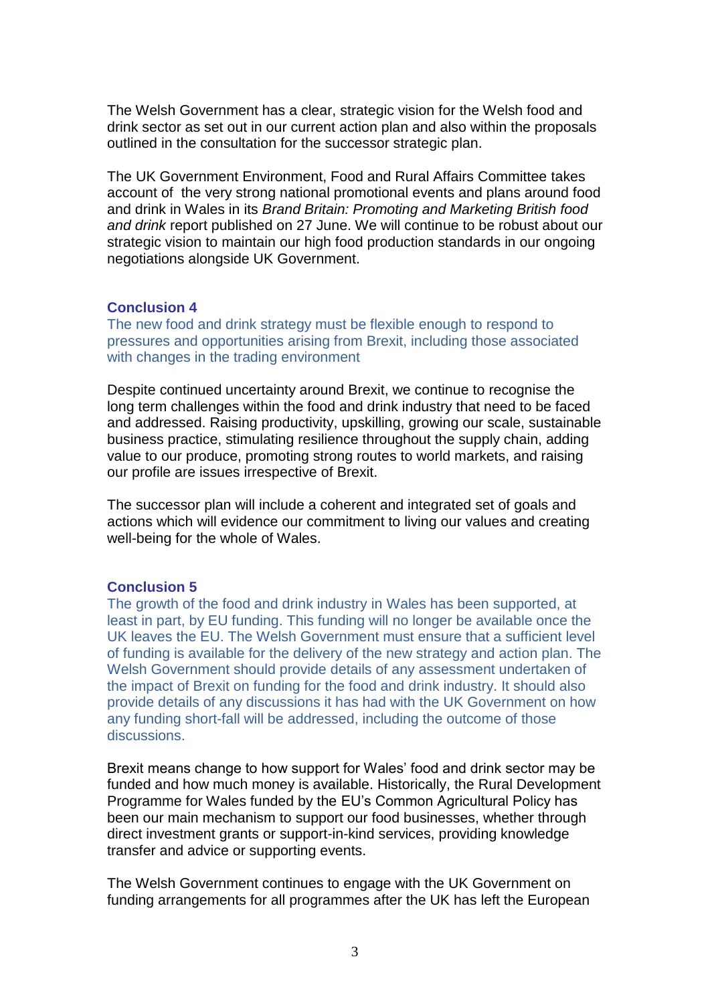The Welsh Government has a clear, strategic vision for the Welsh food and drink sector as set out in our current action plan and also within the proposals outlined in the consultation for the successor strategic plan.

The UK Government Environment, Food and Rural Affairs Committee takes account of the very strong national promotional events and plans around food and drink in Wales in its *Brand Britain: Promoting and Marketing British food and drink* report published on 27 June. We will continue to be robust about our strategic vision to maintain our high food production standards in our ongoing negotiations alongside UK Government.

## **Conclusion 4**

The new food and drink strategy must be flexible enough to respond to pressures and opportunities arising from Brexit, including those associated with changes in the trading environment

Despite continued uncertainty around Brexit, we continue to recognise the long term challenges within the food and drink industry that need to be faced and addressed. Raising productivity, upskilling, growing our scale, sustainable business practice, stimulating resilience throughout the supply chain, adding value to our produce, promoting strong routes to world markets, and raising our profile are issues irrespective of Brexit.

The successor plan will include a coherent and integrated set of goals and actions which will evidence our commitment to living our values and creating well-being for the whole of Wales.

# **Conclusion 5**

The growth of the food and drink industry in Wales has been supported, at least in part, by EU funding. This funding will no longer be available once the UK leaves the EU. The Welsh Government must ensure that a sufficient level of funding is available for the delivery of the new strategy and action plan. The Welsh Government should provide details of any assessment undertaken of the impact of Brexit on funding for the food and drink industry. It should also provide details of any discussions it has had with the UK Government on how any funding short-fall will be addressed, including the outcome of those discussions.

Brexit means change to how support for Wales' food and drink sector may be funded and how much money is available. Historically, the Rural Development Programme for Wales funded by the EU's Common Agricultural Policy has been our main mechanism to support our food businesses, whether through direct investment grants or support-in-kind services, providing knowledge transfer and advice or supporting events.

The Welsh Government continues to engage with the UK Government on funding arrangements for all programmes after the UK has left the European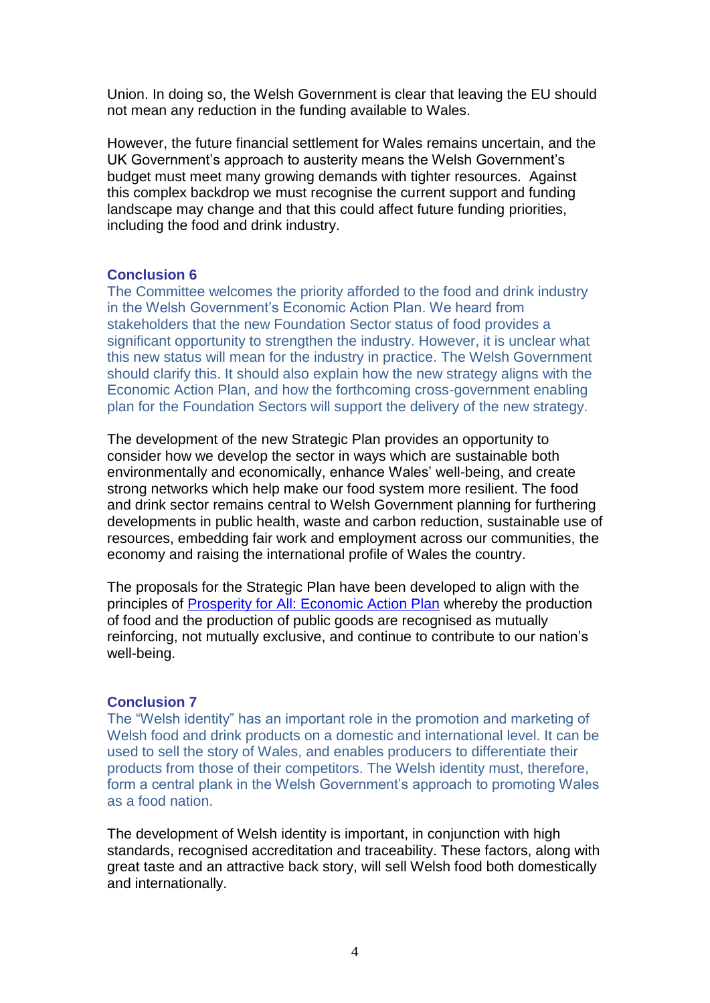Union. In doing so, the Welsh Government is clear that leaving the EU should not mean any reduction in the funding available to Wales.

However, the future financial settlement for Wales remains uncertain, and the UK Government's approach to austerity means the Welsh Government's budget must meet many growing demands with tighter resources. Against this complex backdrop we must recognise the current support and funding landscape may change and that this could affect future funding priorities, including the food and drink industry.

## **Conclusion 6**

The Committee welcomes the priority afforded to the food and drink industry in the Welsh Government's Economic Action Plan. We heard from stakeholders that the new Foundation Sector status of food provides a significant opportunity to strengthen the industry. However, it is unclear what this new status will mean for the industry in practice. The Welsh Government should clarify this. It should also explain how the new strategy aligns with the Economic Action Plan, and how the forthcoming cross-government enabling plan for the Foundation Sectors will support the delivery of the new strategy.

The development of the new Strategic Plan provides an opportunity to consider how we develop the sector in ways which are sustainable both environmentally and economically, enhance Wales' well-being, and create strong networks which help make our food system more resilient. The food and drink sector remains central to Welsh Government planning for furthering developments in public health, waste and carbon reduction, sustainable use of resources, embedding fair work and employment across our communities, the economy and raising the international profile of Wales the country.

The proposals for the Strategic Plan have been developed to align with the principles of [Prosperity for All: Economic Action Plan](https://gov.wales/prosperity-all-economic-action-plan) whereby the production of food and the production of public goods are recognised as mutually reinforcing, not mutually exclusive, and continue to contribute to our nation's well-being.

# **Conclusion 7**

The "Welsh identity" has an important role in the promotion and marketing of Welsh food and drink products on a domestic and international level. It can be used to sell the story of Wales, and enables producers to differentiate their products from those of their competitors. The Welsh identity must, therefore, form a central plank in the Welsh Government's approach to promoting Wales as a food nation.

The development of Welsh identity is important, in conjunction with high standards, recognised accreditation and traceability. These factors, along with great taste and an attractive back story, will sell Welsh food both domestically and internationally.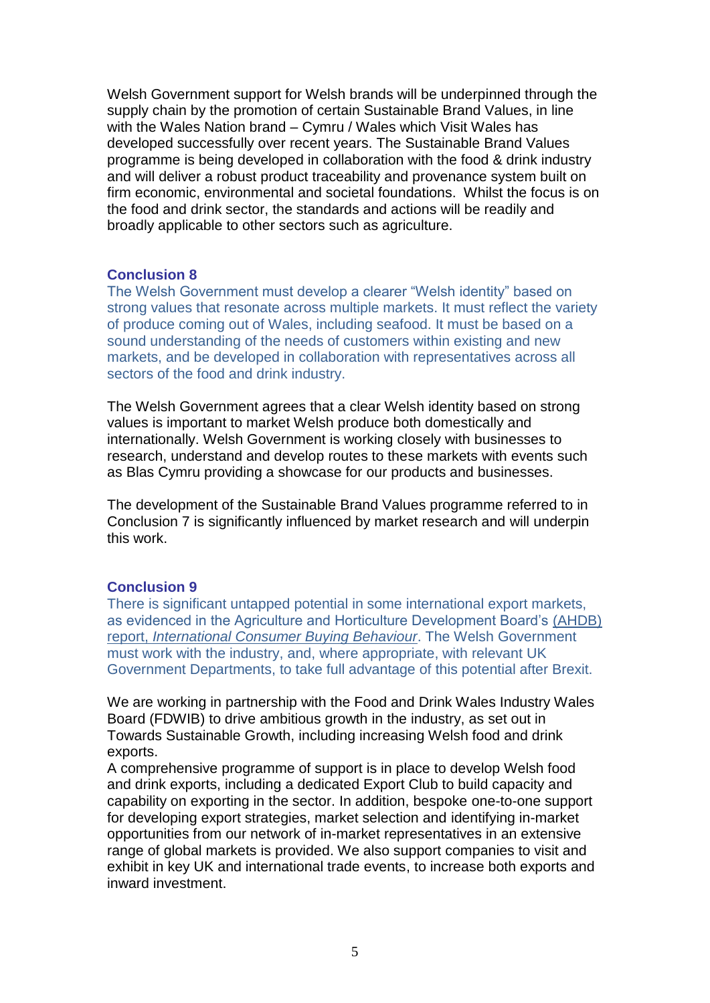Welsh Government support for Welsh brands will be underpinned through the supply chain by the promotion of certain Sustainable Brand Values, in line with the Wales Nation brand – Cymru / Wales which Visit Wales has developed successfully over recent years. The Sustainable Brand Values programme is being developed in collaboration with the food & drink industry and will deliver a robust product traceability and provenance system built on firm economic, environmental and societal foundations. Whilst the focus is on the food and drink sector, the standards and actions will be readily and broadly applicable to other sectors such as agriculture.

## **Conclusion 8**

The Welsh Government must develop a clearer "Welsh identity" based on strong values that resonate across multiple markets. It must reflect the variety of produce coming out of Wales, including seafood. It must be based on a sound understanding of the needs of customers within existing and new markets, and be developed in collaboration with representatives across all sectors of the food and drink industry.

The Welsh Government agrees that a clear Welsh identity based on strong values is important to market Welsh produce both domestically and internationally. Welsh Government is working closely with businesses to research, understand and develop routes to these markets with events such as Blas Cymru providing a showcase for our products and businesses.

The development of the Sustainable Brand Values programme referred to in Conclusion 7 is significantly influenced by market research and will underpin this work.

# **Conclusion 9**

There is significant untapped potential in some international export markets, as evidenced in the Agriculture and Horticulture Development Board's [\(AHDB\)](https://media.ahdb.org.uk/media/Default/Market%20Insight/Horizon_InterConsumer-march2018.pdf)  report, *[International Consumer Buying Behaviour](https://media.ahdb.org.uk/media/Default/Market%20Insight/Horizon_InterConsumer-march2018.pdf)*. The Welsh Government must work with the industry, and, where appropriate, with relevant UK Government Departments, to take full advantage of this potential after Brexit.

We are working in partnership with the Food and Drink Wales Industry Wales Board (FDWIB) to drive ambitious growth in the industry, as set out in Towards Sustainable Growth, including increasing Welsh food and drink exports.

A comprehensive programme of support is in place to develop Welsh food and drink exports, including a dedicated Export Club to build capacity and capability on exporting in the sector. In addition, bespoke one-to-one support for developing export strategies, market selection and identifying in-market opportunities from our network of in-market representatives in an extensive range of global markets is provided. We also support companies to visit and exhibit in key UK and international trade events, to increase both exports and inward investment.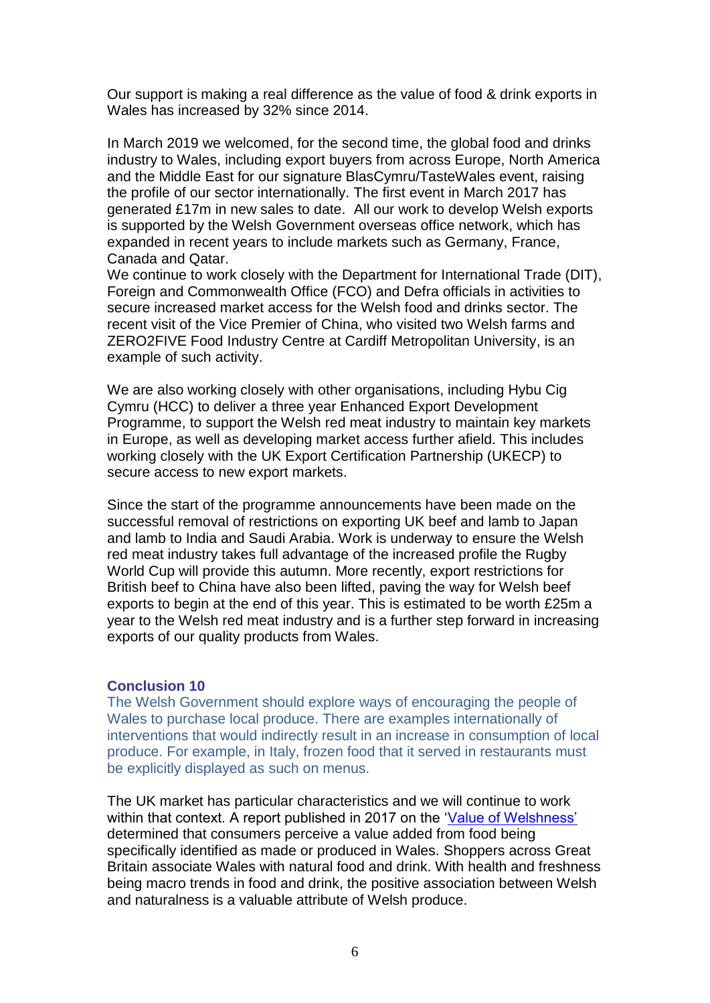Our support is making a real difference as the value of food & drink exports in Wales has increased by 32% since 2014.

In March 2019 we welcomed, for the second time, the global food and drinks industry to Wales, including export buyers from across Europe, North America and the Middle East for our signature BlasCymru/TasteWales event, raising the profile of our sector internationally. The first event in March 2017 has generated £17m in new sales to date. All our work to develop Welsh exports is supported by the Welsh Government overseas office network, which has expanded in recent years to include markets such as Germany, France, Canada and Qatar.

We continue to work closely with the Department for International Trade (DIT), Foreign and Commonwealth Office (FCO) and Defra officials in activities to secure increased market access for the Welsh food and drinks sector. The recent visit of the Vice Premier of China, who visited two Welsh farms and ZERO2FIVE Food Industry Centre at Cardiff Metropolitan University, is an example of such activity.

We are also working closely with other organisations, including Hybu Cig Cymru (HCC) to deliver a three year Enhanced Export Development Programme, to support the Welsh red meat industry to maintain key markets in Europe, as well as developing market access further afield. This includes working closely with the UK Export Certification Partnership (UKECP) to secure access to new export markets.

Since the start of the programme announcements have been made on the successful removal of restrictions on exporting UK beef and lamb to Japan and lamb to India and Saudi Arabia. Work is underway to ensure the Welsh red meat industry takes full advantage of the increased profile the Rugby World Cup will provide this autumn. More recently, export restrictions for British beef to China have also been lifted, paving the way for Welsh beef exports to begin at the end of this year. This is estimated to be worth £25m a year to the Welsh red meat industry and is a further step forward in increasing exports of our quality products from Wales.

### **Conclusion 10**

The Welsh Government should explore ways of encouraging the people of Wales to purchase local produce. There are examples internationally of interventions that would indirectly result in an increase in consumption of local produce. For example, in Italy, frozen food that it served in restaurants must be explicitly displayed as such on menus.

The UK market has particular characteristics and we will continue to work within that context. A report published in 2017 on the ['Value of Welshness'](https://businesswales.gov.wales/foodanddrink/sites/foodanddrink/files/documents/value_of_welshness.pdf) determined that consumers perceive a value added from food being specifically identified as made or produced in Wales. Shoppers across Great Britain associate Wales with natural food and drink. With health and freshness being macro trends in food and drink, the positive association between Welsh and naturalness is a valuable attribute of Welsh produce.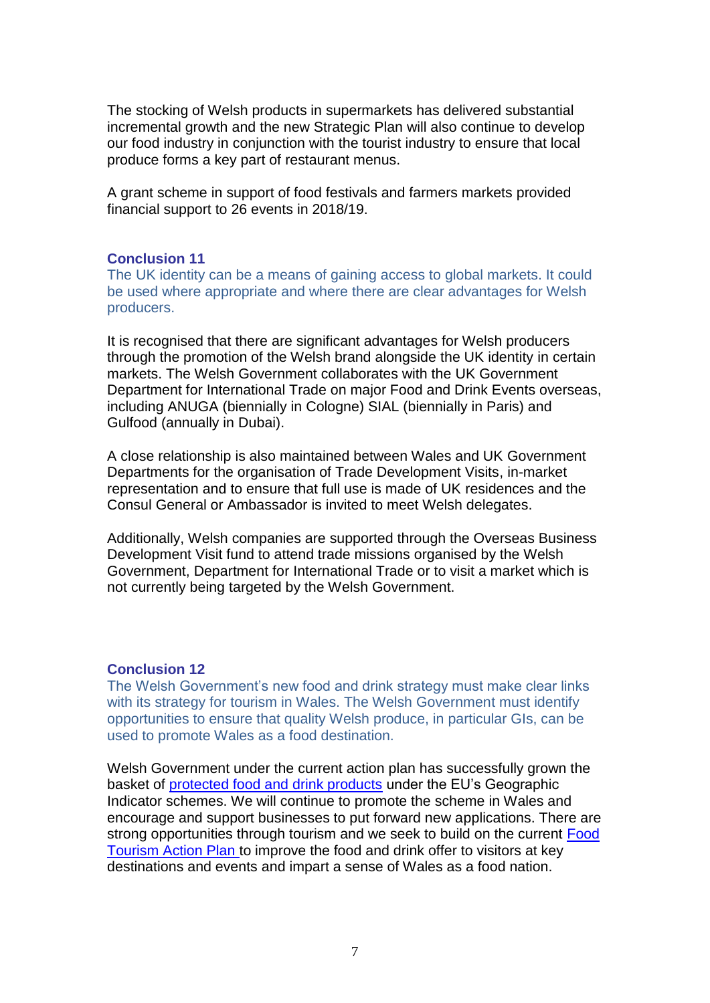The stocking of Welsh products in supermarkets has delivered substantial incremental growth and the new Strategic Plan will also continue to develop our food industry in conjunction with the tourist industry to ensure that local produce forms a key part of restaurant menus.

A grant scheme in support of food festivals and farmers markets provided financial support to 26 events in 2018/19.

### **Conclusion 11**

The UK identity can be a means of gaining access to global markets. It could be used where appropriate and where there are clear advantages for Welsh producers.

It is recognised that there are significant advantages for Welsh producers through the promotion of the Welsh brand alongside the UK identity in certain markets. The Welsh Government collaborates with the UK Government Department for International Trade on major Food and Drink Events overseas, including ANUGA (biennially in Cologne) SIAL (biennially in Paris) and Gulfood (annually in Dubai).

A close relationship is also maintained between Wales and UK Government Departments for the organisation of Trade Development Visits, in-market representation and to ensure that full use is made of UK residences and the Consul General or Ambassador is invited to meet Welsh delegates.

Additionally, Welsh companies are supported through the Overseas Business Development Visit fund to attend trade missions organised by the Welsh Government, Department for International Trade or to visit a market which is not currently being targeted by the Welsh Government.

### **Conclusion 12**

The Welsh Government's new food and drink strategy must make clear links with its strategy for tourism in Wales. The Welsh Government must identify opportunities to ensure that quality Welsh produce, in particular GIs, can be used to promote Wales as a food destination.

Welsh Government under the current action plan has successfully grown the basket of [protected food and drink products](https://businesswales.gov.wales/foodanddrink/how-we-can-help/protected-food-names-wales) under the EU's Geographic Indicator schemes. We will continue to promote the scheme in Wales and encourage and support businesses to put forward new applications. There are strong opportunities through tourism and we seek to build on the current [Food](https://gov.wales/food-tourism-action-plan-2015-2020)  [Tourism Action Plan](https://gov.wales/food-tourism-action-plan-2015-2020) to improve the food and drink offer to visitors at key destinations and events and impart a sense of Wales as a food nation.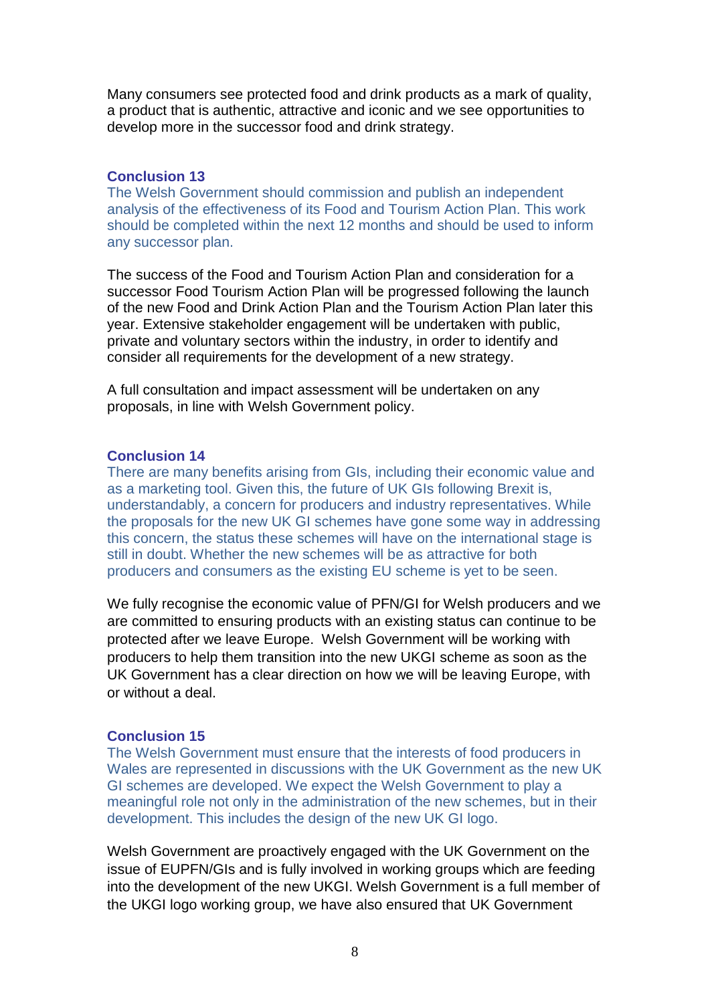Many consumers see protected food and drink products as a mark of quality, a product that is authentic, attractive and iconic and we see opportunities to develop more in the successor food and drink strategy.

# **Conclusion 13**

The Welsh Government should commission and publish an independent analysis of the effectiveness of its Food and Tourism Action Plan. This work should be completed within the next 12 months and should be used to inform any successor plan.

The success of the Food and Tourism Action Plan and consideration for a successor Food Tourism Action Plan will be progressed following the launch of the new Food and Drink Action Plan and the Tourism Action Plan later this year. Extensive stakeholder engagement will be undertaken with public, private and voluntary sectors within the industry, in order to identify and consider all requirements for the development of a new strategy.

A full consultation and impact assessment will be undertaken on any proposals, in line with Welsh Government policy.

#### **Conclusion 14**

There are many benefits arising from GIs, including their economic value and as a marketing tool. Given this, the future of UK GIs following Brexit is, understandably, a concern for producers and industry representatives. While the proposals for the new UK GI schemes have gone some way in addressing this concern, the status these schemes will have on the international stage is still in doubt. Whether the new schemes will be as attractive for both producers and consumers as the existing EU scheme is yet to be seen.

We fully recognise the economic value of PFN/GI for Welsh producers and we are committed to ensuring products with an existing status can continue to be protected after we leave Europe. Welsh Government will be working with producers to help them transition into the new UKGI scheme as soon as the UK Government has a clear direction on how we will be leaving Europe, with or without a deal.

#### **Conclusion 15**

The Welsh Government must ensure that the interests of food producers in Wales are represented in discussions with the UK Government as the new UK GI schemes are developed. We expect the Welsh Government to play a meaningful role not only in the administration of the new schemes, but in their development. This includes the design of the new UK GI logo.

Welsh Government are proactively engaged with the UK Government on the issue of EUPFN/GIs and is fully involved in working groups which are feeding into the development of the new UKGI. Welsh Government is a full member of the UKGI logo working group, we have also ensured that UK Government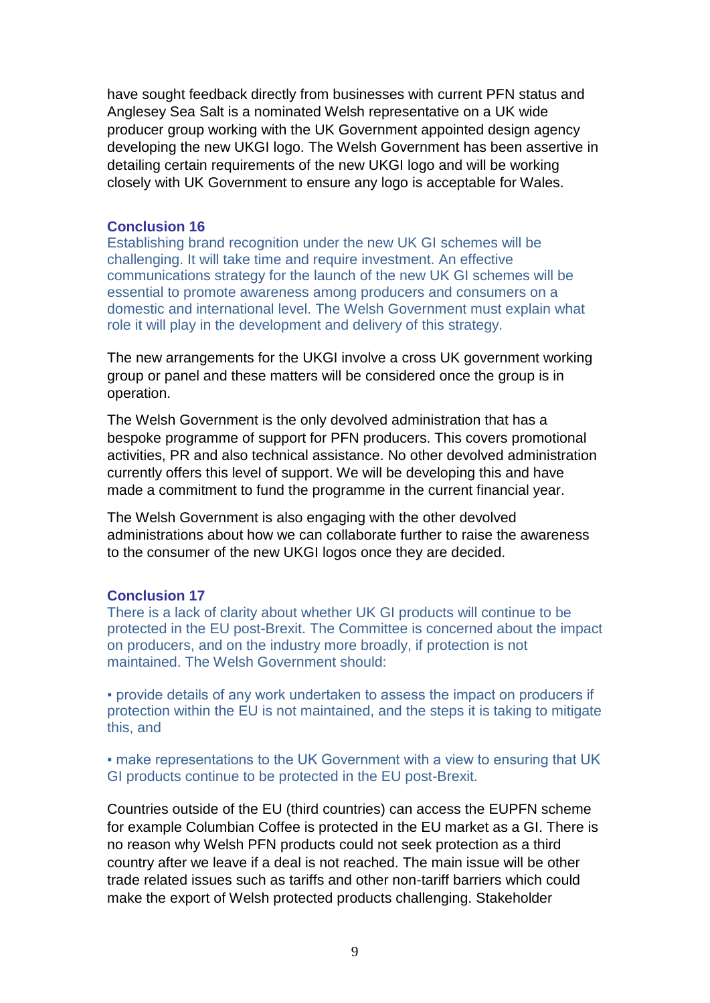have sought feedback directly from businesses with current PFN status and Anglesey Sea Salt is a nominated Welsh representative on a UK wide producer group working with the UK Government appointed design agency developing the new UKGI logo. The Welsh Government has been assertive in detailing certain requirements of the new UKGI logo and will be working closely with UK Government to ensure any logo is acceptable for Wales.

### **Conclusion 16**

Establishing brand recognition under the new UK GI schemes will be challenging. It will take time and require investment. An effective communications strategy for the launch of the new UK GI schemes will be essential to promote awareness among producers and consumers on a domestic and international level. The Welsh Government must explain what role it will play in the development and delivery of this strategy.

The new arrangements for the UKGI involve a cross UK government working group or panel and these matters will be considered once the group is in operation.

The Welsh Government is the only devolved administration that has a bespoke programme of support for PFN producers. This covers promotional activities, PR and also technical assistance. No other devolved administration currently offers this level of support. We will be developing this and have made a commitment to fund the programme in the current financial year.

The Welsh Government is also engaging with the other devolved administrations about how we can collaborate further to raise the awareness to the consumer of the new UKGI logos once they are decided.

#### **Conclusion 17**

There is a lack of clarity about whether UK GI products will continue to be protected in the EU post-Brexit. The Committee is concerned about the impact on producers, and on the industry more broadly, if protection is not maintained. The Welsh Government should:

▪ provide details of any work undertaken to assess the impact on producers if protection within the EU is not maintained, and the steps it is taking to mitigate this, and

• make representations to the UK Government with a view to ensuring that UK GI products continue to be protected in the EU post-Brexit.

Countries outside of the EU (third countries) can access the EUPFN scheme for example Columbian Coffee is protected in the EU market as a GI. There is no reason why Welsh PFN products could not seek protection as a third country after we leave if a deal is not reached. The main issue will be other trade related issues such as tariffs and other non-tariff barriers which could make the export of Welsh protected products challenging. Stakeholder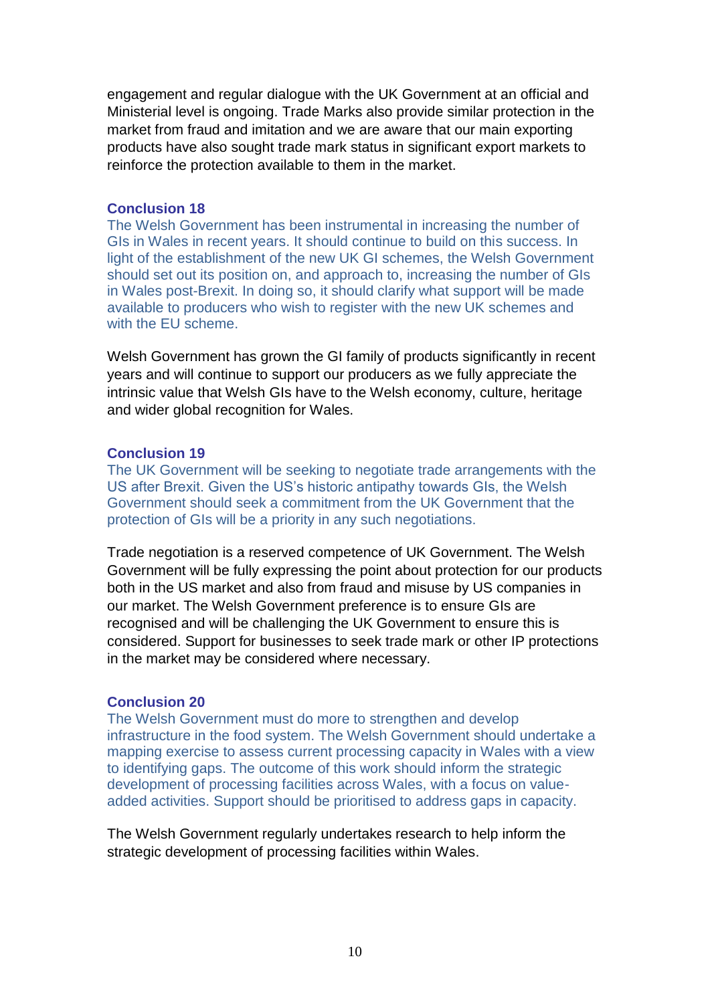engagement and regular dialogue with the UK Government at an official and Ministerial level is ongoing. Trade Marks also provide similar protection in the market from fraud and imitation and we are aware that our main exporting products have also sought trade mark status in significant export markets to reinforce the protection available to them in the market.

### **Conclusion 18**

The Welsh Government has been instrumental in increasing the number of GIs in Wales in recent years. It should continue to build on this success. In light of the establishment of the new UK GI schemes, the Welsh Government should set out its position on, and approach to, increasing the number of GIs in Wales post-Brexit. In doing so, it should clarify what support will be made available to producers who wish to register with the new UK schemes and with the EU scheme.

Welsh Government has grown the GI family of products significantly in recent years and will continue to support our producers as we fully appreciate the intrinsic value that Welsh GIs have to the Welsh economy, culture, heritage and wider global recognition for Wales.

### **Conclusion 19**

The UK Government will be seeking to negotiate trade arrangements with the US after Brexit. Given the US's historic antipathy towards GIs, the Welsh Government should seek a commitment from the UK Government that the protection of GIs will be a priority in any such negotiations.

Trade negotiation is a reserved competence of UK Government. The Welsh Government will be fully expressing the point about protection for our products both in the US market and also from fraud and misuse by US companies in our market. The Welsh Government preference is to ensure GIs are recognised and will be challenging the UK Government to ensure this is considered. Support for businesses to seek trade mark or other IP protections in the market may be considered where necessary.

# **Conclusion 20**

The Welsh Government must do more to strengthen and develop infrastructure in the food system. The Welsh Government should undertake a mapping exercise to assess current processing capacity in Wales with a view to identifying gaps. The outcome of this work should inform the strategic development of processing facilities across Wales, with a focus on valueadded activities. Support should be prioritised to address gaps in capacity.

The Welsh Government regularly undertakes research to help inform the strategic development of processing facilities within Wales.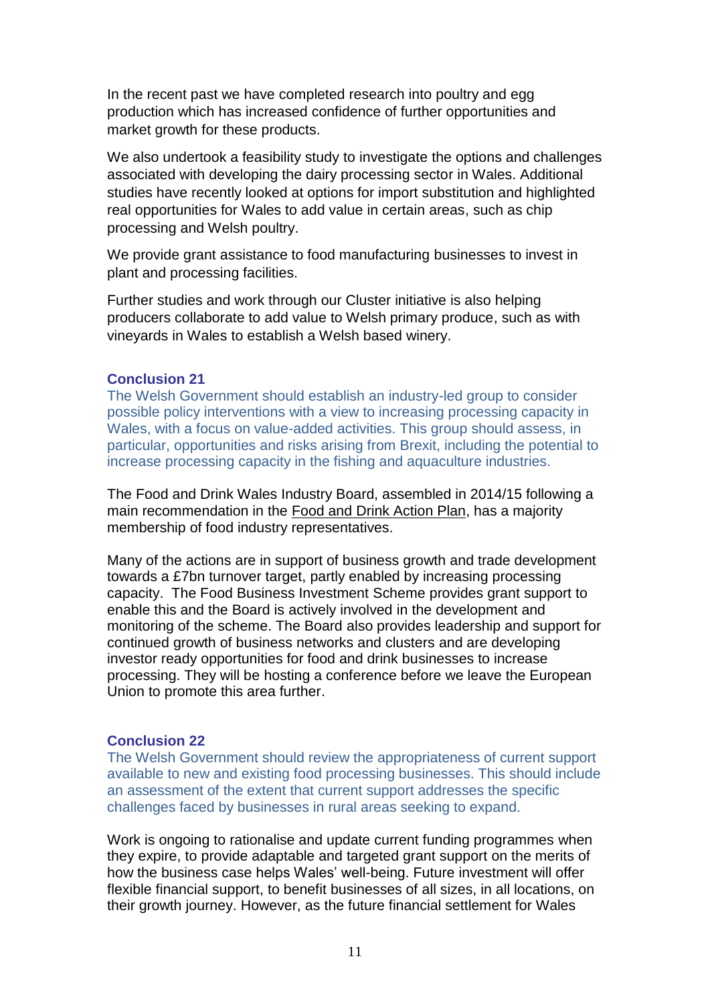In the recent past we have completed research into poultry and egg production which has increased confidence of further opportunities and market growth for these products.

We also undertook a feasibility study to investigate the options and challenges associated with developing the dairy processing sector in Wales. Additional studies have recently looked at options for import substitution and highlighted real opportunities for Wales to add value in certain areas, such as chip processing and Welsh poultry.

We provide grant assistance to food manufacturing businesses to invest in plant and processing facilities.

Further studies and work through our Cluster initiative is also helping producers collaborate to add value to Welsh primary produce, such as with vineyards in Wales to establish a Welsh based winery.

### **Conclusion 21**

The Welsh Government should establish an industry-led group to consider possible policy interventions with a view to increasing processing capacity in Wales, with a focus on value-added activities. This group should assess, in particular, opportunities and risks arising from Brexit, including the potential to increase processing capacity in the fishing and aquaculture industries.

The Food and Drink Wales Industry Board, assembled in 2014/15 following a main recommendation in the [Food and Drink Action Plan,](https://businesswales.gov.wales/foodanddrink/sites/foodanddrink/files/documents/Action%20Plan%20-%20English.pdf) has a majority membership of food industry representatives.

Many of the actions are in support of business growth and trade development towards a £7bn turnover target, partly enabled by increasing processing capacity. The Food Business Investment Scheme provides grant support to enable this and the Board is actively involved in the development and monitoring of the scheme. The Board also provides leadership and support for continued growth of business networks and clusters and are developing investor ready opportunities for food and drink businesses to increase processing. They will be hosting a conference before we leave the European Union to promote this area further.

### **Conclusion 22**

The Welsh Government should review the appropriateness of current support available to new and existing food processing businesses. This should include an assessment of the extent that current support addresses the specific challenges faced by businesses in rural areas seeking to expand.

Work is ongoing to rationalise and update current funding programmes when they expire, to provide adaptable and targeted grant support on the merits of how the business case helps Wales' well-being. Future investment will offer flexible financial support, to benefit businesses of all sizes, in all locations, on their growth journey. However, as the future financial settlement for Wales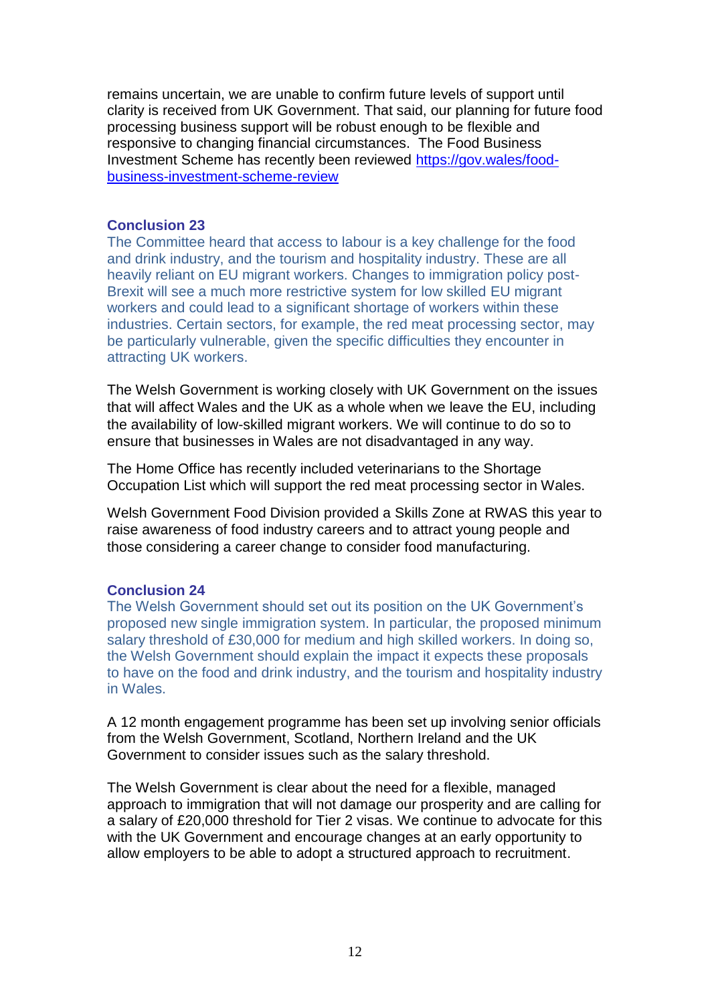remains uncertain, we are unable to confirm future levels of support until clarity is received from UK Government. That said, our planning for future food processing business support will be robust enough to be flexible and responsive to changing financial circumstances. The Food Business Investment Scheme has recently been reviewed [https://gov.wales/food](https://gov.wales/food-business-investment-scheme-review)[business-investment-scheme-review](https://gov.wales/food-business-investment-scheme-review)

## **Conclusion 23**

The Committee heard that access to labour is a key challenge for the food and drink industry, and the tourism and hospitality industry. These are all heavily reliant on EU migrant workers. Changes to immigration policy post-Brexit will see a much more restrictive system for low skilled EU migrant workers and could lead to a significant shortage of workers within these industries. Certain sectors, for example, the red meat processing sector, may be particularly vulnerable, given the specific difficulties they encounter in attracting UK workers.

The Welsh Government is working closely with UK Government on the issues that will affect Wales and the UK as a whole when we leave the EU, including the availability of low-skilled migrant workers. We will continue to do so to ensure that businesses in Wales are not disadvantaged in any way.

The Home Office has recently included veterinarians to the Shortage Occupation List which will support the red meat processing sector in Wales.

Welsh Government Food Division provided a Skills Zone at RWAS this year to raise awareness of food industry careers and to attract young people and those considering a career change to consider food manufacturing.

# **Conclusion 24**

The Welsh Government should set out its position on the UK Government's proposed new single immigration system. In particular, the proposed minimum salary threshold of £30,000 for medium and high skilled workers. In doing so, the Welsh Government should explain the impact it expects these proposals to have on the food and drink industry, and the tourism and hospitality industry in Wales.

A 12 month engagement programme has been set up involving senior officials from the Welsh Government, Scotland, Northern Ireland and the UK Government to consider issues such as the salary threshold.

The Welsh Government is clear about the need for a flexible, managed approach to immigration that will not damage our prosperity and are calling for a salary of £20,000 threshold for Tier 2 visas. We continue to advocate for this with the UK Government and encourage changes at an early opportunity to allow employers to be able to adopt a structured approach to recruitment.